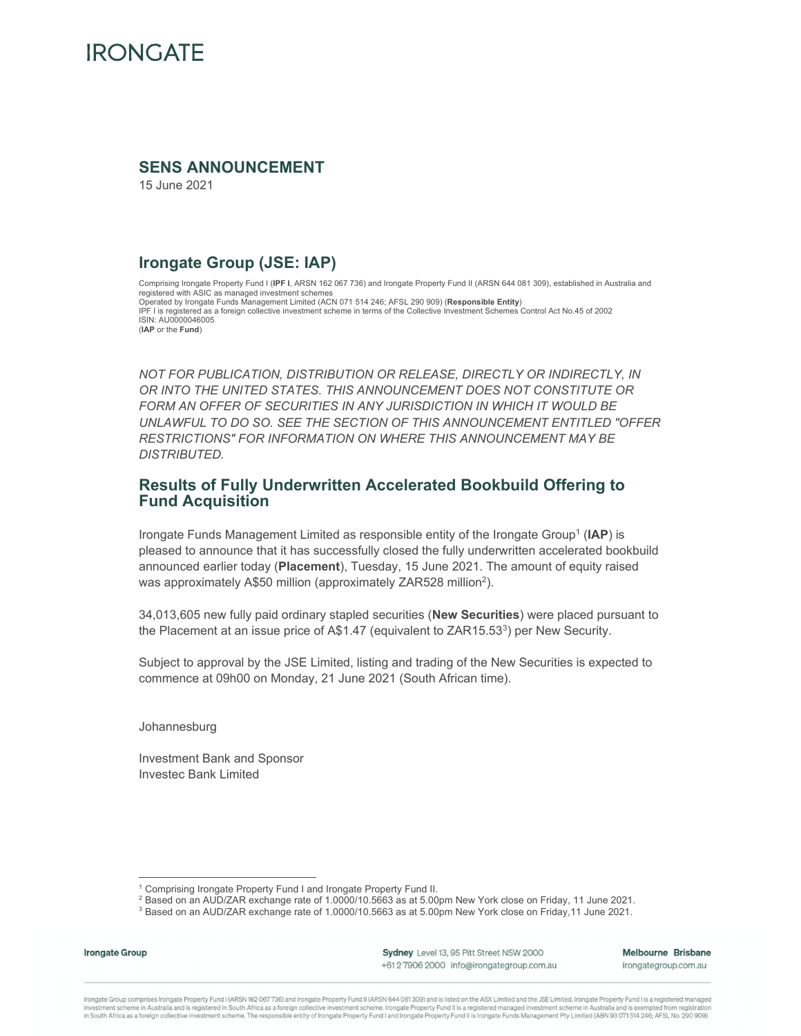

### **SENS ANNOUNCEMENT**

15 June 2021

## **Irongate Group (JSE: IAP)**

Comprising Irongate Property Fund I (**IPF I**, ARSN 162 067 736) and Irongate Property Fund II (ARSN 644 081 309), established in Australia and registered with ASIC as managed investment schemes Operated by Irongate Funds Management Limited (ACN 071 514 246; AFSL 290 909) **(Responsible Entity**)<br>IPF I is registered as a foreign collective investment scheme in terms of the Collective Investment Schemes Control Act N ISIN: AU0000046005 (**IAP** or the **Fund**)

*NOT FOR PUBLICATION, DISTRIBUTION OR RELEASE, DIRECTLY OR INDIRECTLY, IN OR INTO THE UNITED STATES. THIS ANNOUNCEMENT DOES NOT CONSTITUTE OR FORM AN OFFER OF SECURITIES IN ANY JURISDICTION IN WHICH IT WOULD BE UNLAWFUL TO DO SO. SEE THE SECTION OF THIS ANNOUNCEMENT ENTITLED "OFFER RESTRICTIONS" FOR INFORMATION ON WHERE THIS ANNOUNCEMENT MAY BE DISTRIBUTED.* 

## **Results of Fully Underwritten Accelerated Bookbuild Offering to Fund Acquisition**

Irongate Funds Management Limited as responsible entity of the Irongate Group<sup>1</sup> (IAP) is pleased to announce that it has successfully closed the fully underwritten accelerated bookbuild announced earlier today (**Placement**), Tuesday, 15 June 2021. The amount of equity raised was approximately A\$50 million (approximately ZAR528 million<sup>2</sup>).

34,013,605 new fully paid ordinary stapled securities (**New Securities**) were placed pursuant to the Placement at an issue price of A\$1.47 (equivalent to ZAR15.533) per New Security.

Subject to approval by the JSE Limited, listing and trading of the New Securities is expected to commence at 09h00 on Monday, 21 June 2021 (South African time).

Johannesburg

Investment Bank and Sponsor Investec Bank Limited

**Irongate Group** 

Sydney Level 13, 95 Pitt Street NSW 2000 +61 2 7906 2000 info@irongategroup.com.au Melbourne Brisbane irongategroup.com.au

<sup>&</sup>lt;sup>1</sup> Comprising Irongate Property Fund I and Irongate Property Fund II.

<sup>2</sup> Based on an AUD/ZAR exchange rate of 1.0000/10.5663 as at 5.00pm New York close on Friday, 11 June 2021.

 $^3$  Based on an AUD/ZAR exchange rate of 1.0000/10.5663 as at 5.00pm New York close on Friday,11 June 2021.

Irongate Group comprises Irongate Property Fund I (ARSN 162 067736) and Irongate Property Fund II (ARSN 644 081 309) and is listed on the ASX Limited and the JSE Limited. Irongate Property Fund I is a registered managed investment scheme in Australia and is registered in South Africa as a foreign collective investment scheme. Irongate Property Fund II is a registered managed investment scheme in Australia and is resumpted from registratio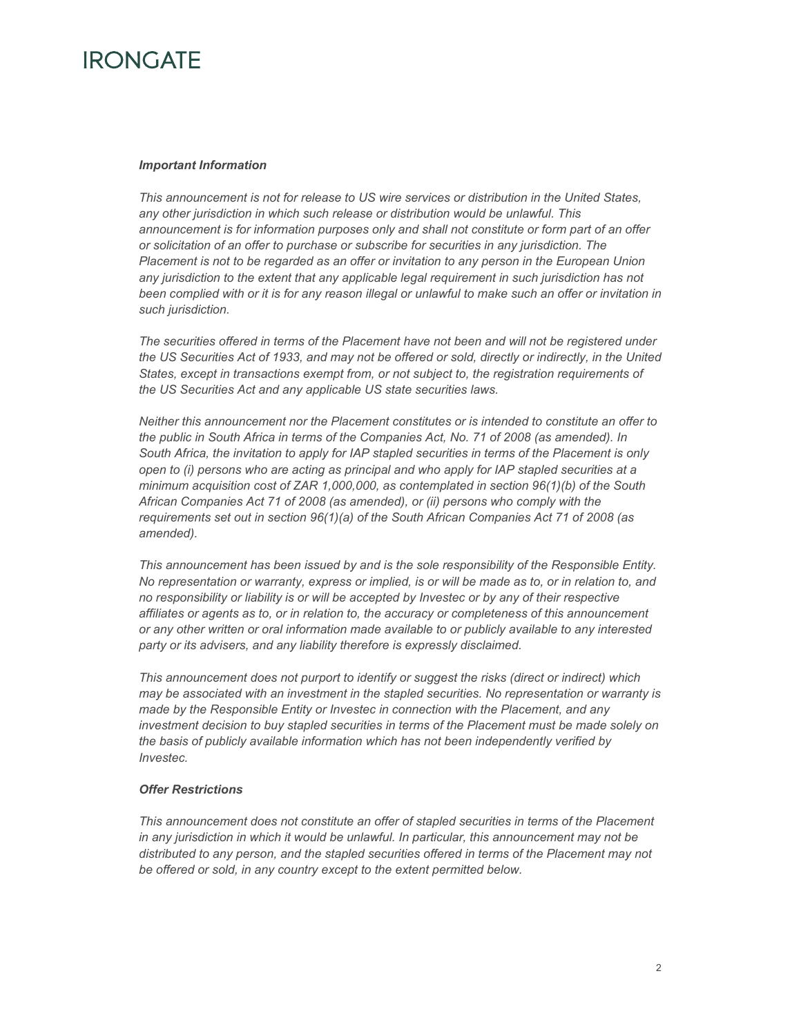## **IRONGATE**

#### *Important Information*

*This announcement is not for release to US wire services or distribution in the United States, any other jurisdiction in which such release or distribution would be unlawful. This announcement is for information purposes only and shall not constitute or form part of an offer or solicitation of an offer to purchase or subscribe for securities in any jurisdiction. The Placement is not to be regarded as an offer or invitation to any person in the European Union any jurisdiction to the extent that any applicable legal requirement in such jurisdiction has not*  been complied with or it is for any reason illegal or unlawful to make such an offer or invitation in *such jurisdiction.* 

*The securities offered in terms of the Placement have not been and will not be registered under the US Securities Act of 1933, and may not be offered or sold, directly or indirectly, in the United States, except in transactions exempt from, or not subject to, the registration requirements of the US Securities Act and any applicable US state securities laws.* 

*Neither this announcement nor the Placement constitutes or is intended to constitute an offer to the public in South Africa in terms of the Companies Act, No. 71 of 2008 (as amended). In South Africa, the invitation to apply for IAP stapled securities in terms of the Placement is only open to (i) persons who are acting as principal and who apply for IAP stapled securities at a minimum acquisition cost of ZAR 1,000,000, as contemplated in section 96(1)(b) of the South African Companies Act 71 of 2008 (as amended), or (ii) persons who comply with the requirements set out in section 96(1)(a) of the South African Companies Act 71 of 2008 (as amended).* 

*This announcement has been issued by and is the sole responsibility of the Responsible Entity. No representation or warranty, express or implied, is or will be made as to, or in relation to, and no responsibility or liability is or will be accepted by Investec or by any of their respective affiliates or agents as to, or in relation to, the accuracy or completeness of this announcement or any other written or oral information made available to or publicly available to any interested party or its advisers, and any liability therefore is expressly disclaimed.* 

*This announcement does not purport to identify or suggest the risks (direct or indirect) which may be associated with an investment in the stapled securities. No representation or warranty is made by the Responsible Entity or Investec in connection with the Placement, and any investment decision to buy stapled securities in terms of the Placement must be made solely on the basis of publicly available information which has not been independently verified by Investec.* 

#### *Offer Restrictions*

*This announcement does not constitute an offer of stapled securities in terms of the Placement in any jurisdiction in which it would be unlawful. In particular, this announcement may not be distributed to any person, and the stapled securities offered in terms of the Placement may not be offered or sold, in any country except to the extent permitted below.*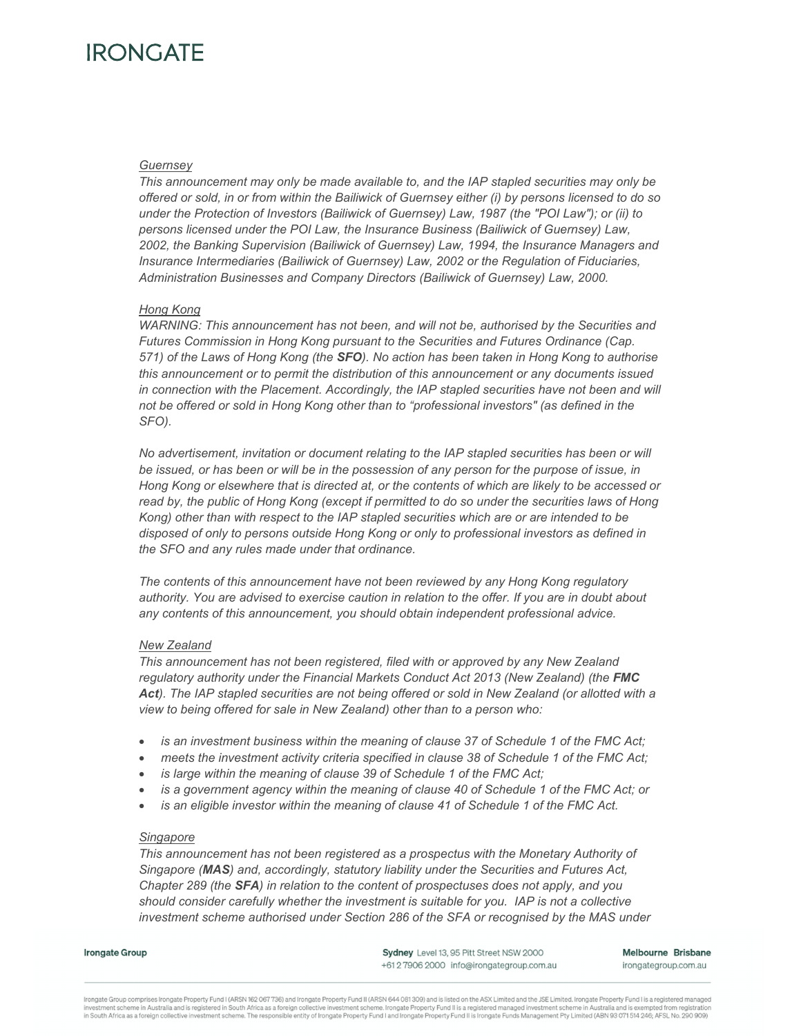## **IRONGATE**

#### *Guernsey*

*This announcement may only be made available to, and the IAP stapled securities may only be offered or sold, in or from within the Bailiwick of Guernsey either (i) by persons licensed to do so under the Protection of Investors (Bailiwick of Guernsey) Law, 1987 (the "POI Law"); or (ii) to persons licensed under the POI Law, the Insurance Business (Bailiwick of Guernsey) Law, 2002, the Banking Supervision (Bailiwick of Guernsey) Law, 1994, the Insurance Managers and Insurance Intermediaries (Bailiwick of Guernsey) Law, 2002 or the Regulation of Fiduciaries, Administration Businesses and Company Directors (Bailiwick of Guernsey) Law, 2000.* 

#### *Hong Kong*

*WARNING: This announcement has not been, and will not be, authorised by the Securities and Futures Commission in Hong Kong pursuant to the Securities and Futures Ordinance (Cap. 571) of the Laws of Hong Kong (the SFO). No action has been taken in Hong Kong to authorise this announcement or to permit the distribution of this announcement or any documents issued*  in connection with the Placement. Accordingly, the IAP stapled securities have not been and will *not be offered or sold in Hong Kong other than to "professional investors" (as defined in the SFO).* 

*No advertisement, invitation or document relating to the IAP stapled securities has been or will be issued, or has been or will be in the possession of any person for the purpose of issue, in Hong Kong or elsewhere that is directed at, or the contents of which are likely to be accessed or read by, the public of Hong Kong (except if permitted to do so under the securities laws of Hong Kong) other than with respect to the IAP stapled securities which are or are intended to be disposed of only to persons outside Hong Kong or only to professional investors as defined in the SFO and any rules made under that ordinance.* 

*The contents of this announcement have not been reviewed by any Hong Kong regulatory authority. You are advised to exercise caution in relation to the offer. If you are in doubt about any contents of this announcement, you should obtain independent professional advice.* 

#### *New Zealand*

*This announcement has not been registered, filed with or approved by any New Zealand regulatory authority under the Financial Markets Conduct Act 2013 (New Zealand) (the FMC Act). The IAP stapled securities are not being offered or sold in New Zealand (or allotted with a view to being offered for sale in New Zealand) other than to a person who:* 

- *is an investment business within the meaning of clause 37 of Schedule 1 of the FMC Act;*
- *meets the investment activity criteria specified in clause 38 of Schedule 1 of the FMC Act;*
- *is large within the meaning of clause 39 of Schedule 1 of the FMC Act;*
- *is a government agency within the meaning of clause 40 of Schedule 1 of the FMC Act; or*
- *is an eligible investor within the meaning of clause 41 of Schedule 1 of the FMC Act.*

#### *Singapore*

*This announcement has not been registered as a prospectus with the Monetary Authority of Singapore (MAS) and, accordingly, statutory liability under the Securities and Futures Act, Chapter 289 (the SFA) in relation to the content of prospectuses does not apply, and you should consider carefully whether the investment is suitable for you. IAP is not a collective*  investment scheme authorised under Section 286 of the SFA or recognised by the MAS under

**Irongate Group** 

Sydney Level 13, 95 Pitt Street NSW 2000 +61 2 7906 2000 info@irongategroup.com.au Melbourne Brisbane irongategroup.com.au

Irongate Group comprises Irongate Property Fund I (ARSN 162 067736) and Irongate Property Fund II (ARSN 644 081 309) and is listed on the ASX Limited and the JSE Limited. Irongate Property Fund I is a registered managed investment scheme in Australia and is registered in South Africa as a foreign collective investment scheme. Irongate Property Fund II is a registered managed investment scheme in Australia and is exempted from registration